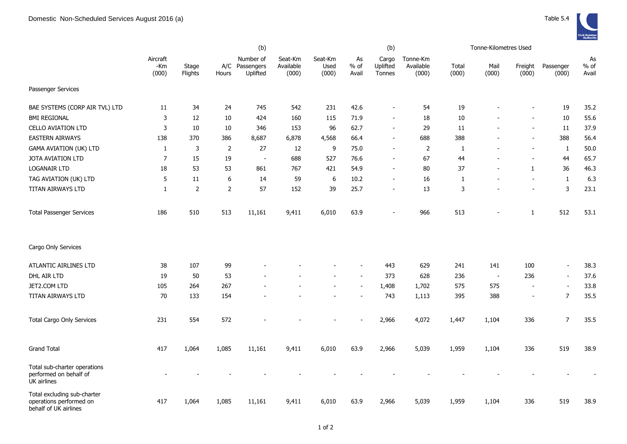|                                                                                 |                          |                  |                | (b)                                     |                               |                          |                          | (b)                         |                                |                | Tonne-Kilometres Used    |                          |                          |                       |
|---------------------------------------------------------------------------------|--------------------------|------------------|----------------|-----------------------------------------|-------------------------------|--------------------------|--------------------------|-----------------------------|--------------------------------|----------------|--------------------------|--------------------------|--------------------------|-----------------------|
|                                                                                 | Aircraft<br>-Km<br>(000) | Stage<br>Flights | Hours          | Number of<br>A/C Passengers<br>Uplifted | Seat-Km<br>Available<br>(000) | Seat-Km<br>Used<br>(000) | As<br>$%$ of<br>Avail    | Cargo<br>Uplifted<br>Tonnes | Tonne-Km<br>Available<br>(000) | Total<br>(000) | Mail<br>(000)            | Freight<br>(000)         | Passenger<br>(000)       | As<br>$%$ of<br>Avail |
| Passenger Services                                                              |                          |                  |                |                                         |                               |                          |                          |                             |                                |                |                          |                          |                          |                       |
| BAE SYSTEMS (CORP AIR TVL) LTD                                                  | 11                       | 34               | 24             | 745                                     | 542                           | 231                      | 42.6                     |                             | 54                             | 19             |                          |                          | 19                       | 35.2                  |
| <b>BMI REGIONAL</b>                                                             | 3                        | 12               | 10             | 424                                     | 160                           | 115                      | 71.9                     |                             | 18                             | 10             |                          |                          | $10\,$                   | 55.6                  |
| <b>CELLO AVIATION LTD</b>                                                       | 3                        | 10               | $10\,$         | 346                                     | 153                           | 96                       | 62.7                     | $\sim$                      | 29                             | 11             | $\overline{a}$           | $\blacksquare$           | 11                       | 37.9                  |
| <b>EASTERN AIRWAYS</b>                                                          | 138                      | 370              | 386            | 8,687                                   | 6,878                         | 4,568                    | 66.4                     | $\overline{\phantom{a}}$    | 688                            | 388            |                          | $\overline{\phantom{a}}$ | 388                      | 56.4                  |
| <b>GAMA AVIATION (UK) LTD</b>                                                   | $\mathbf{1}$             | 3                | $\overline{2}$ | 27                                      | 12                            | 9                        | 75.0                     |                             | $\overline{2}$                 | 1              |                          | $\blacksquare$           | $\mathbf{1}$             | 50.0                  |
| JOTA AVIATION LTD                                                               | $\overline{7}$           | 15               | 19             | $\blacksquare$                          | 688                           | 527                      | 76.6                     |                             | 67                             | 44             | $\overline{a}$           | $\overline{\phantom{a}}$ | 44                       | 65.7                  |
| <b>LOGANAIR LTD</b>                                                             | 18                       | 53               | 53             | 861                                     | 767                           | 421                      | 54.9                     | $\overline{\phantom{a}}$    | 80                             | 37             | $\overline{a}$           | $\mathbf{1}$             | 36                       | 46.3                  |
| TAG AVIATION (UK) LTD                                                           | 5                        | 11               | 6              | 14                                      | 59                            | 6                        | 10.2                     | $\overline{\phantom{a}}$    | 16                             | 1              | $\overline{a}$           | $\blacksquare$           | $\mathbf{1}$             | 6.3                   |
| TITAN AIRWAYS LTD                                                               | $\mathbf{1}$             | $\overline{2}$   | $\overline{2}$ | 57                                      | 152                           | 39                       | 25.7                     | $\sim$                      | 13                             | 3              | $\overline{a}$           | $\blacksquare$           | 3                        | 23.1                  |
| <b>Total Passenger Services</b>                                                 | 186                      | 510              | 513            | 11,161                                  | 9,411                         | 6,010                    | 63.9                     | $\overline{\phantom{a}}$    | 966                            | 513            | $\overline{a}$           | $\mathbf{1}$             | 512                      | 53.1                  |
| Cargo Only Services                                                             |                          |                  |                |                                         |                               |                          |                          |                             |                                |                |                          |                          |                          |                       |
| ATLANTIC AIRLINES LTD                                                           | 38                       | 107              | 99             |                                         |                               |                          | $\overline{\phantom{a}}$ | 443                         | 629                            | 241            | 141                      | 100                      | $\overline{\phantom{a}}$ | 38.3                  |
| DHL AIR LTD                                                                     | 19                       | 50               | 53             |                                         |                               |                          | $\overline{\phantom{a}}$ | 373                         | 628                            | 236            | $\overline{\phantom{a}}$ | 236                      | $\overline{\phantom{a}}$ | 37.6                  |
| JET2.COM LTD                                                                    | 105                      | 264              | 267            |                                         |                               | $\overline{a}$           | $\overline{a}$           | 1,408                       | 1,702                          | 575            | 575                      | $\sim$                   | $\blacksquare$           | 33.8                  |
| TITAN AIRWAYS LTD                                                               | 70                       | 133              | 154            |                                         |                               |                          | $\sim$                   | 743                         | 1,113                          | 395            | 388                      | $\overline{\phantom{a}}$ | $\overline{7}$           | 35.5                  |
| <b>Total Cargo Only Services</b>                                                | 231                      | 554              | 572            |                                         |                               |                          |                          | 2,966                       | 4,072                          | 1,447          | 1,104                    | 336                      | $\overline{7}$           | 35.5                  |
| <b>Grand Total</b>                                                              | 417                      | 1,064            | 1,085          | 11,161                                  | 9,411                         | 6,010                    | 63.9                     | 2,966                       | 5,039                          | 1,959          | 1,104                    | 336                      | 519                      | 38.9                  |
| Total sub-charter operations<br>performed on behalf of<br>UK airlines           |                          |                  |                |                                         |                               |                          |                          |                             |                                |                |                          |                          |                          |                       |
| Total excluding sub-charter<br>operations performed on<br>behalf of UK airlines | 417                      | 1,064            | 1,085          | 11,161                                  | 9,411                         | 6,010                    | 63.9                     | 2,966                       | 5,039                          | 1,959          | 1,104                    | 336                      | 519                      | 38.9                  |